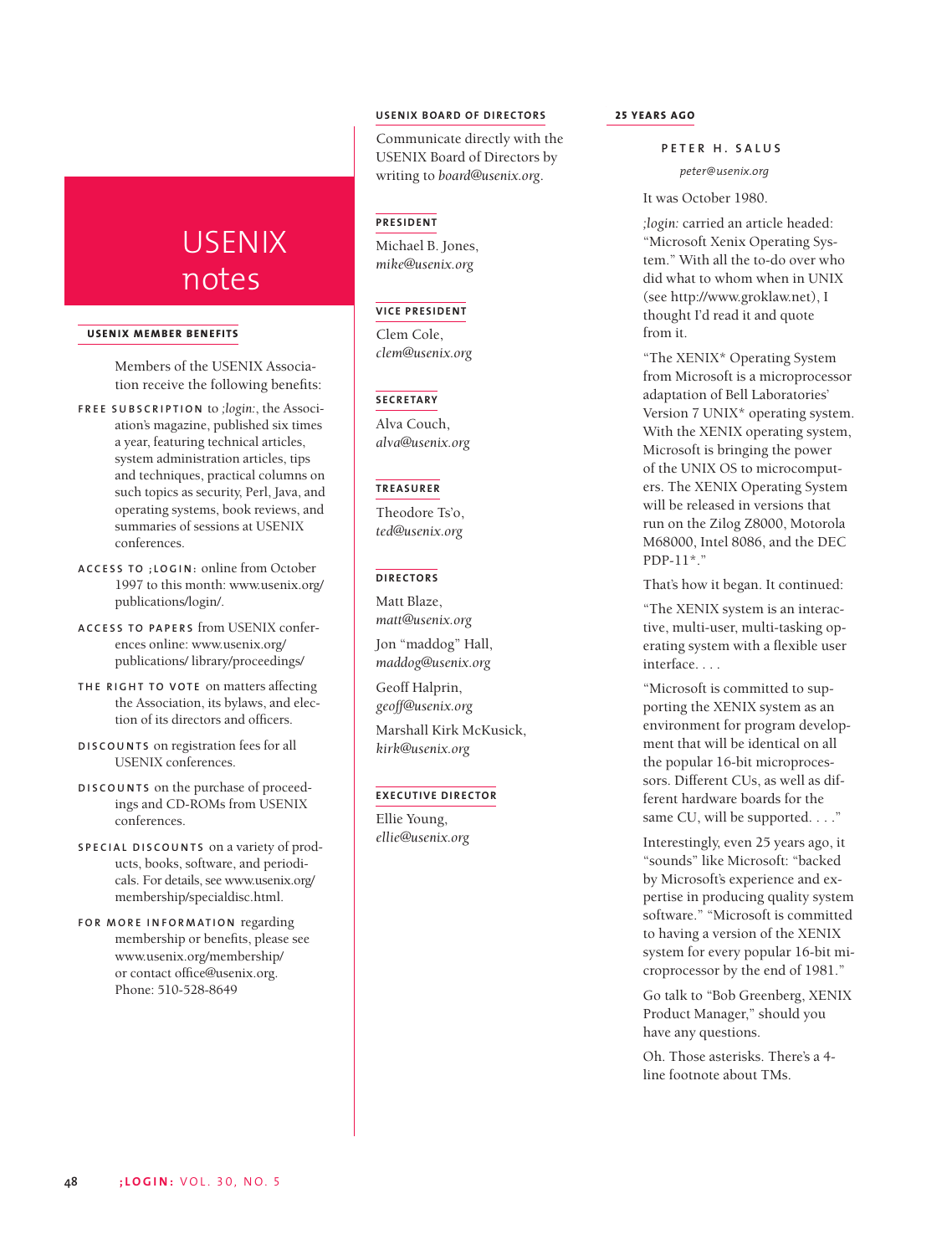# USENIX notes

#### **USENIX MEMBER BENEFITS**

Members of the USENIX Association receive the following benefits:

- **F REE SUBSCRIPTION** to *;login:*, the Association's magazine, published six times a year, featuring technical articles, system administration articles, tips and techniques, practical columns on such topics as security, Perl, Java, and operating systems, book reviews, and summaries of sessions at USENIX conferences.
- **A C CESS TO ;LOGIN:** online from October 1997 to this month: www.usenix.org/ publications/login/.
- **ACCESS TO PAPERS** from USENIX conferences online: www.usenix.org/ publications/ library/proceedings/
- **THE RIGHT TO VOTE** on matters affecting the Association, its bylaws, and election of its directors and officers.
- **DISCOUNTS** on registration fees for all USENIX conferences.
- **DISCOUNTS** on the purchase of proceedings and CD-ROMs from USENIX conferences.
- **SPECIAL DISCOUNTS** on a variety of products, books, software, and periodicals. For details, see www.usenix.org/ membership/specialdisc.html.
- **FOR MORE INFORMATION** regarding membership or benefits, please see www.usenix.org/membership/ or contact office@usenix.org. Phone: 510-528-8649

# **USENIX BOARD OF DIRECTORS**

Communicate directly with the USENIX Board of Directors by writing to *board@usenix.org*.

## **PRESIDENT**

Michael B. Jones, *mike@usenix.org*

# **VICE PRESIDENT**

Clem Cole, *clem@usenix.org*

## **SECRETARY**

Alva Couch, *alva@usenix.org*

#### **TREASURER**

Theodore Ts'o, *ted@usenix.org*

#### **DIRECTORS**

Matt Blaze, *matt@usenix.org*

Jon "maddog" Hall, *maddog@usenix.org*

Geoff Halprin, *geoff@usenix.org*

Marshall Kirk McKusick, *kirk@usenix.org*

#### **EXECUTIVE DIRECTOR**

Ellie Young, *ellie@usenix.org*

## **25 YEARS AGO**

**P ETER H. SALUS**

*peter@usenix.org*

It was October 1980.

*;login:* carried an article headed: "Microsoft Xenix Operating System." With all the to-do over who did what to whom when in UNIX (see http://www.groklaw.net), I thought I'd read it and quote from it.

"The XENIX\* Operating System from Microsoft is a microprocessor adaptation of Bell Laboratories' Version 7 UNIX\* operating system. With the XENIX operating system, Microsoft is bringing the power of the UNIX OS to microcomputers. The XENIX Operating System will be released in versions that run on the Zilog Z8000, Motorola M68000, Intel 8086, and the DEC PDP-11\*."

That's how it began. It continued:

"The XENIX system is an interactive, multi-user, multi-tasking operating system with a flexible user interface. . . .

"Microsoft is committed to supporting the XENIX system as an environment for program development that will be identical on all the popular 16-bit microprocessors. Different CUs, as well as different hardware boards for the same CU, will be supported. . . ."

Interestingly, even 25 years ago, it "sounds" like Microsoft: "backed by Microsoft's experience and expertise in producing quality system software." "Microsoft is committed to having a version of the XENIX system for every popular 16-bit microprocessor by the end of 1981."

Go talk to "Bob Greenberg, XENIX Product Manager," should you have any questions.

Oh. Those asterisks. There's a 4 line footnote about TMs.